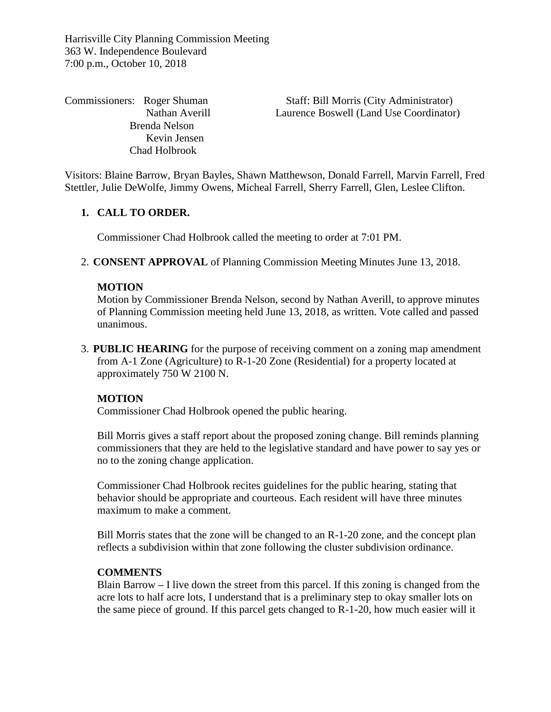Harrisville City Planning Commission Meeting 363 W. Independence Boulevard 7:00 p.m., October 10, 2018

 Brenda Nelson Kevin Jensen Chad Holbrook

Commissioners: Roger Shuman Staff: Bill Morris (City Administrator) Nathan Averill Laurence Boswell (Land Use Coordinator)

Visitors: Blaine Barrow, Bryan Bayles, Shawn Matthewson, Donald Farrell, Marvin Farrell, Fred Stettler, Julie DeWolfe, Jimmy Owens, Micheal Farrell, Sherry Farrell, Glen, Leslee Clifton.

# **1. CALL TO ORDER.**

Commissioner Chad Holbrook called the meeting to order at 7:01 PM.

2. **CONSENT APPROVAL** of Planning Commission Meeting Minutes June 13, 2018.

## **MOTION**

Motion by Commissioner Brenda Nelson, second by Nathan Averill, to approve minutes of Planning Commission meeting held June 13, 2018, as written. Vote called and passed unanimous.

3. **PUBLIC HEARING** for the purpose of receiving comment on a zoning map amendment from A-1 Zone (Agriculture) to R-1-20 Zone (Residential) for a property located at approximately 750 W 2100 N.

# **MOTION**

Commissioner Chad Holbrook opened the public hearing.

Bill Morris gives a staff report about the proposed zoning change. Bill reminds planning commissioners that they are held to the legislative standard and have power to say yes or no to the zoning change application.

Commissioner Chad Holbrook recites guidelines for the public hearing, stating that behavior should be appropriate and courteous. Each resident will have three minutes maximum to make a comment.

Bill Morris states that the zone will be changed to an R-1-20 zone, and the concept plan reflects a subdivision within that zone following the cluster subdivision ordinance.

## **COMMENTS**

Blain Barrow **–** I live down the street from this parcel. If this zoning is changed from the acre lots to half acre lots, I understand that is a preliminary step to okay smaller lots on the same piece of ground. If this parcel gets changed to R-1-20, how much easier will it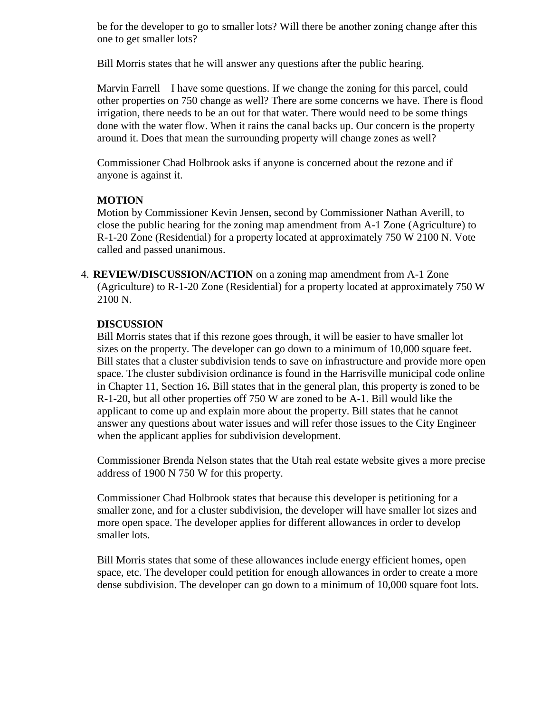be for the developer to go to smaller lots? Will there be another zoning change after this one to get smaller lots?

Bill Morris states that he will answer any questions after the public hearing.

Marvin Farrell – I have some questions. If we change the zoning for this parcel, could other properties on 750 change as well? There are some concerns we have. There is flood irrigation, there needs to be an out for that water. There would need to be some things done with the water flow. When it rains the canal backs up. Our concern is the property around it. Does that mean the surrounding property will change zones as well?

Commissioner Chad Holbrook asks if anyone is concerned about the rezone and if anyone is against it.

# **MOTION**

Motion by Commissioner Kevin Jensen, second by Commissioner Nathan Averill, to close the public hearing for the zoning map amendment from A-1 Zone (Agriculture) to R-1-20 Zone (Residential) for a property located at approximately 750 W 2100 N. Vote called and passed unanimous.

4. **REVIEW/DISCUSSION/ACTION** on a zoning map amendment from A-1 Zone (Agriculture) to R-1-20 Zone (Residential) for a property located at approximately 750 W 2100 N.

## **DISCUSSION**

Bill Morris states that if this rezone goes through, it will be easier to have smaller lot sizes on the property. The developer can go down to a minimum of 10,000 square feet. Bill states that a cluster subdivision tends to save on infrastructure and provide more open space. The cluster subdivision ordinance is found in the Harrisville municipal code online in Chapter 11, Section 16**.** Bill states that in the general plan, this property is zoned to be R-1-20, but all other properties off 750 W are zoned to be A-1. Bill would like the applicant to come up and explain more about the property. Bill states that he cannot answer any questions about water issues and will refer those issues to the City Engineer when the applicant applies for subdivision development.

Commissioner Brenda Nelson states that the Utah real estate website gives a more precise address of 1900 N 750 W for this property.

Commissioner Chad Holbrook states that because this developer is petitioning for a smaller zone, and for a cluster subdivision, the developer will have smaller lot sizes and more open space. The developer applies for different allowances in order to develop smaller lots.

Bill Morris states that some of these allowances include energy efficient homes, open space, etc. The developer could petition for enough allowances in order to create a more dense subdivision. The developer can go down to a minimum of 10,000 square foot lots.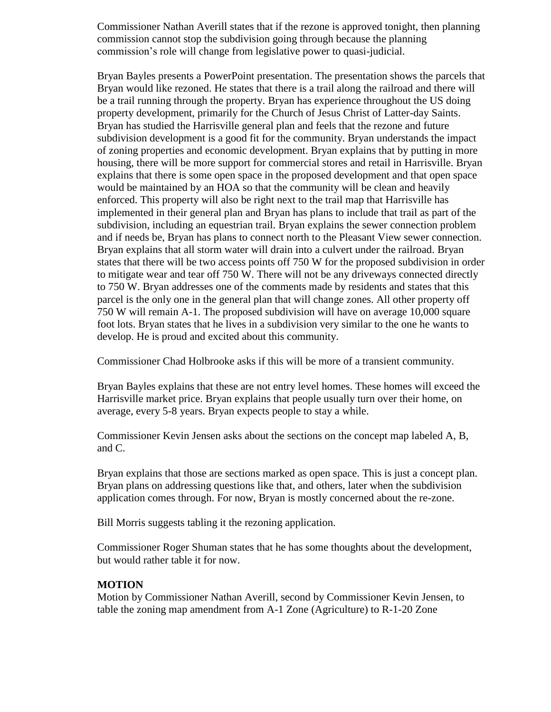Commissioner Nathan Averill states that if the rezone is approved tonight, then planning commission cannot stop the subdivision going through because the planning commission's role will change from legislative power to quasi-judicial.

Bryan Bayles presents a PowerPoint presentation. The presentation shows the parcels that Bryan would like rezoned. He states that there is a trail along the railroad and there will be a trail running through the property. Bryan has experience throughout the US doing property development, primarily for the Church of Jesus Christ of Latter-day Saints. Bryan has studied the Harrisville general plan and feels that the rezone and future subdivision development is a good fit for the community. Bryan understands the impact of zoning properties and economic development. Bryan explains that by putting in more housing, there will be more support for commercial stores and retail in Harrisville. Bryan explains that there is some open space in the proposed development and that open space would be maintained by an HOA so that the community will be clean and heavily enforced. This property will also be right next to the trail map that Harrisville has implemented in their general plan and Bryan has plans to include that trail as part of the subdivision, including an equestrian trail. Bryan explains the sewer connection problem and if needs be, Bryan has plans to connect north to the Pleasant View sewer connection. Bryan explains that all storm water will drain into a culvert under the railroad. Bryan states that there will be two access points off 750 W for the proposed subdivision in order to mitigate wear and tear off 750 W. There will not be any driveways connected directly to 750 W. Bryan addresses one of the comments made by residents and states that this parcel is the only one in the general plan that will change zones. All other property off 750 W will remain A-1. The proposed subdivision will have on average 10,000 square foot lots. Bryan states that he lives in a subdivision very similar to the one he wants to develop. He is proud and excited about this community.

Commissioner Chad Holbrooke asks if this will be more of a transient community.

Bryan Bayles explains that these are not entry level homes. These homes will exceed the Harrisville market price. Bryan explains that people usually turn over their home, on average, every 5-8 years. Bryan expects people to stay a while.

Commissioner Kevin Jensen asks about the sections on the concept map labeled A, B, and C.

Bryan explains that those are sections marked as open space. This is just a concept plan. Bryan plans on addressing questions like that, and others, later when the subdivision application comes through. For now, Bryan is mostly concerned about the re-zone.

Bill Morris suggests tabling it the rezoning application.

Commissioner Roger Shuman states that he has some thoughts about the development, but would rather table it for now.

#### **MOTION**

Motion by Commissioner Nathan Averill, second by Commissioner Kevin Jensen, to table the zoning map amendment from A-1 Zone (Agriculture) to R-1-20 Zone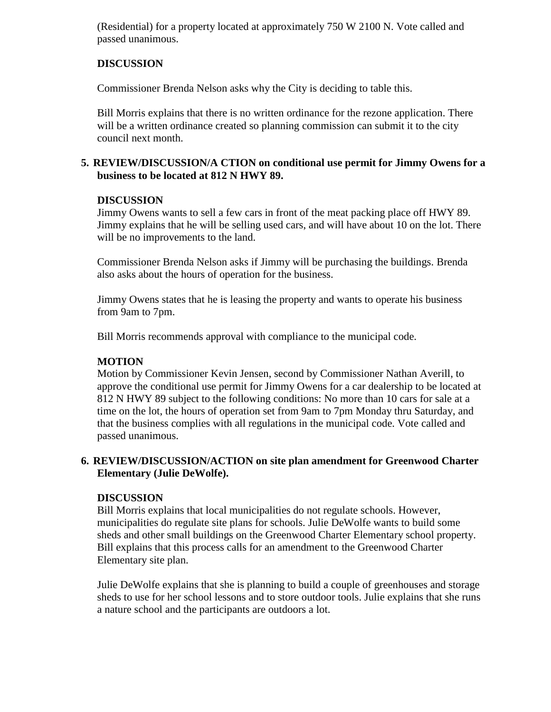(Residential) for a property located at approximately 750 W 2100 N. Vote called and passed unanimous.

# **DISCUSSION**

Commissioner Brenda Nelson asks why the City is deciding to table this.

Bill Morris explains that there is no written ordinance for the rezone application. There will be a written ordinance created so planning commission can submit it to the city council next month.

## **5. REVIEW/DISCUSSION/A CTION on conditional use permit for Jimmy Owens for a business to be located at 812 N HWY 89.**

# **DISCUSSION**

Jimmy Owens wants to sell a few cars in front of the meat packing place off HWY 89. Jimmy explains that he will be selling used cars, and will have about 10 on the lot. There will be no improvements to the land.

Commissioner Brenda Nelson asks if Jimmy will be purchasing the buildings. Brenda also asks about the hours of operation for the business.

Jimmy Owens states that he is leasing the property and wants to operate his business from 9am to 7pm.

Bill Morris recommends approval with compliance to the municipal code.

# **MOTION**

Motion by Commissioner Kevin Jensen, second by Commissioner Nathan Averill, to approve the conditional use permit for Jimmy Owens for a car dealership to be located at 812 N HWY 89 subject to the following conditions: No more than 10 cars for sale at a time on the lot, the hours of operation set from 9am to 7pm Monday thru Saturday, and that the business complies with all regulations in the municipal code. Vote called and passed unanimous.

## **6. REVIEW/DISCUSSION/ACTION on site plan amendment for Greenwood Charter Elementary (Julie DeWolfe).**

## **DISCUSSION**

Bill Morris explains that local municipalities do not regulate schools. However, municipalities do regulate site plans for schools. Julie DeWolfe wants to build some sheds and other small buildings on the Greenwood Charter Elementary school property. Bill explains that this process calls for an amendment to the Greenwood Charter Elementary site plan.

Julie DeWolfe explains that she is planning to build a couple of greenhouses and storage sheds to use for her school lessons and to store outdoor tools. Julie explains that she runs a nature school and the participants are outdoors a lot.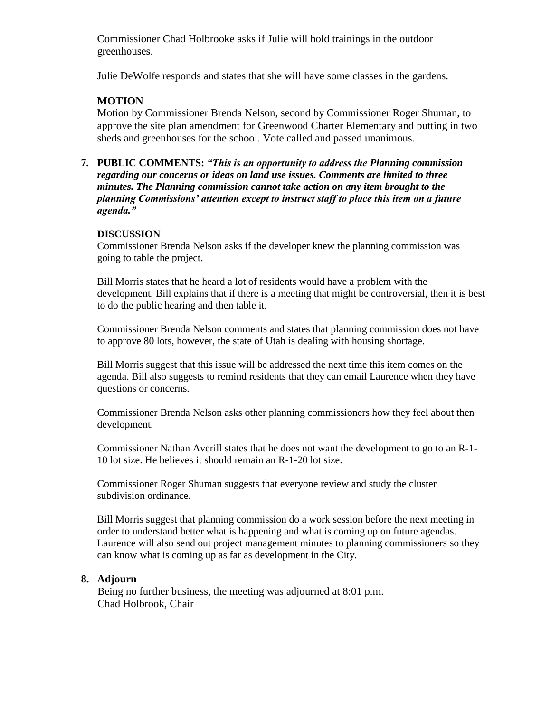Commissioner Chad Holbrooke asks if Julie will hold trainings in the outdoor greenhouses.

Julie DeWolfe responds and states that she will have some classes in the gardens.

# **MOTION**

Motion by Commissioner Brenda Nelson, second by Commissioner Roger Shuman, to approve the site plan amendment for Greenwood Charter Elementary and putting in two sheds and greenhouses for the school. Vote called and passed unanimous.

**7. PUBLIC COMMENTS:** *"This is an opportunity to address the Planning commission regarding our concerns or ideas on land use issues. Comments are limited to three minutes. The Planning commission cannot take action on any item brought to the planning Commissions' attention except to instruct staff to place this item on a future agenda."*

## **DISCUSSION**

Commissioner Brenda Nelson asks if the developer knew the planning commission was going to table the project.

Bill Morris states that he heard a lot of residents would have a problem with the development. Bill explains that if there is a meeting that might be controversial, then it is best to do the public hearing and then table it.

Commissioner Brenda Nelson comments and states that planning commission does not have to approve 80 lots, however, the state of Utah is dealing with housing shortage.

Bill Morris suggest that this issue will be addressed the next time this item comes on the agenda. Bill also suggests to remind residents that they can email Laurence when they have questions or concerns.

Commissioner Brenda Nelson asks other planning commissioners how they feel about then development.

Commissioner Nathan Averill states that he does not want the development to go to an R-1- 10 lot size. He believes it should remain an R-1-20 lot size.

Commissioner Roger Shuman suggests that everyone review and study the cluster subdivision ordinance.

Bill Morris suggest that planning commission do a work session before the next meeting in order to understand better what is happening and what is coming up on future agendas. Laurence will also send out project management minutes to planning commissioners so they can know what is coming up as far as development in the City.

# **8. Adjourn**

Being no further business, the meeting was adjourned at 8:01 p.m. Chad Holbrook, Chair